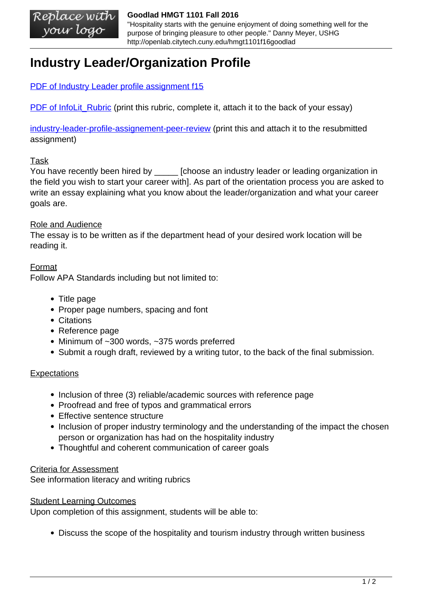#### Replace with **Goodlad HMGT 1101 Fall 2016** your logo

"Hospitality starts with the genuine enjoyment of doing something well for the purpose of bringing pleasure to other people." Danny Meyer, USHG http://openlab.citytech.cuny.edu/hmgt1101f16goodlad

# **Industry Leader/Organization Profile**

[PDF of Industry Leader profile assignment f15](https://openlab.citytech.cuny.edu/goodlad-hmgt1101-fall15/files/2011/06/Industry-Leader-profile-assignement-f15.pdf)

PDF of InfoLit Rubric (print this rubric, complete it, attach it to the back of your essay)

[industry-leader-profile-assignement-peer-review](https://openlab.citytech.cuny.edu/hmgt1101f16goodlad/files/2011/06/Industry-Leader-profile-assignement-peer-review.pdf) (print this and attach it to the resubmitted assignment)

## Task

You have recently been hired by \_\_\_\_\_\_\_ [choose an industry leader or leading organization in the field you wish to start your career with]. As part of the orientation process you are asked to write an essay explaining what you know about the leader/organization and what your career goals are.

#### Role and Audience

The essay is to be written as if the department head of your desired work location will be reading it.

## **Format**

Follow APA Standards including but not limited to:

- Title page
- Proper page numbers, spacing and font
- Citations
- Reference page
- Minimum of ~300 words, ~375 words preferred
- Submit a rough draft, reviewed by a writing tutor, to the back of the final submission.

#### **Expectations**

- Inclusion of three (3) reliable/academic sources with reference page
- Proofread and free of typos and grammatical errors
- Effective sentence structure
- Inclusion of proper industry terminology and the understanding of the impact the chosen person or organization has had on the hospitality industry
- Thoughtful and coherent communication of career goals

#### Criteria for Assessment

See information literacy and writing rubrics

#### Student Learning Outcomes

Upon completion of this assignment, students will be able to:

Discuss the scope of the hospitality and tourism industry through written business